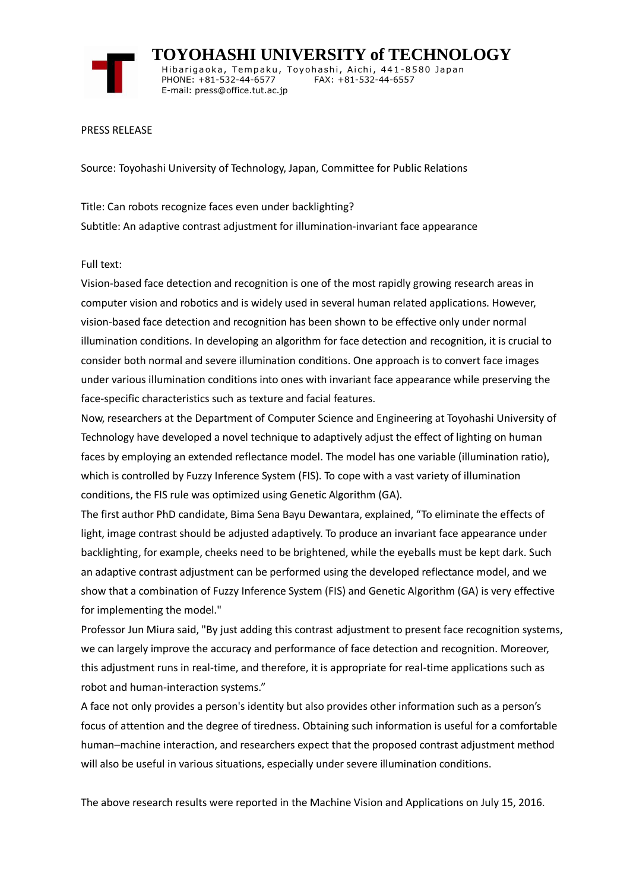

 **TOYOHASHI UNIVERSITY of TECHNOLOGY** Hibarigaoka, Tempaku, Toyohashi, Aichi, 441-8580 Japan PHONE: +81-532-44-6577 FAX: +81-532-44-6557 E-mail: press@office.tut.ac.jp

PRESS RELEASE

Source: Toyohashi University of Technology, Japan, Committee for Public Relations

Title: Can robots recognize faces even under backlighting? Subtitle: An adaptive contrast adjustment for illumination-invariant face appearance

Full text:

Vision-based face detection and recognition is one of the most rapidly growing research areas in computer vision and robotics and is widely used in several human related applications. However, vision-based face detection and recognition has been shown to be effective only under normal illumination conditions. In developing an algorithm for face detection and recognition, it is crucial to consider both normal and severe illumination conditions. One approach is to convert face images under various illumination conditions into ones with invariant face appearance while preserving the face-specific characteristics such as texture and facial features.

Now, researchers at the Department of Computer Science and Engineering at Toyohashi University of Technology have developed a novel technique to adaptively adjust the effect of lighting on human faces by employing an extended reflectance model. The model has one variable (illumination ratio), which is controlled by Fuzzy Inference System (FIS). To cope with a vast variety of illumination conditions, the FIS rule was optimized using Genetic Algorithm (GA).

The first author PhD candidate, Bima Sena Bayu Dewantara, explained, "To eliminate the effects of light, image contrast should be adjusted adaptively. To produce an invariant face appearance under backlighting, for example, cheeks need to be brightened, while the eyeballs must be kept dark. Such an adaptive contrast adjustment can be performed using the developed reflectance model, and we show that a combination of Fuzzy Inference System (FIS) and Genetic Algorithm (GA) is very effective for implementing the model."

Professor Jun Miura said, "By just adding this contrast adjustment to present face recognition systems, we can largely improve the accuracy and performance of face detection and recognition. Moreover, this adjustment runs in real-time, and therefore, it is appropriate for real-time applications such as robot and human-interaction systems."

A face not only provides a person's identity but also provides other information such as a person's focus of attention and the degree of tiredness. Obtaining such information is useful for a comfortable human–machine interaction, and researchers expect that the proposed contrast adjustment method will also be useful in various situations, especially under severe illumination conditions.

The above research results were reported in the Machine Vision and Applications on July 15, 2016.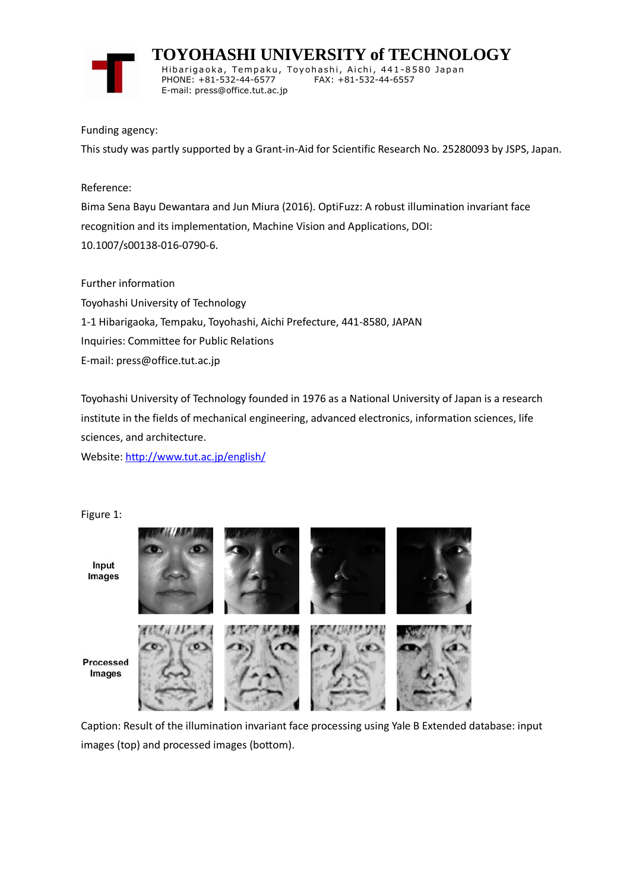

 **TOYOHASHI UNIVERSITY of TECHNOLOGY** Hibarigaoka, Tempaku, Toyohashi, Aichi, 441-8580 Japan PHONE: +81-532-44-6577 FAX: +81-532-44-6557 E-mail: press@office.tut.ac.jp

Funding agency:

This study was partly supported by a Grant-in-Aid for Scientific Research No. 25280093 by JSPS, Japan.

Reference:

Bima Sena Bayu Dewantara and Jun Miura (2016). OptiFuzz: A robust illumination invariant face recognition and its implementation, Machine Vision and Applications, DOI: 10.1007/s00138-016-0790-6.

Further information

Toyohashi University of Technology 1-1 Hibarigaoka, Tempaku, Toyohashi, Aichi Prefecture, 441-8580, JAPAN Inquiries: Committee for Public Relations E-mail: press@office.tut.ac.jp

Toyohashi University of Technology founded in 1976 as a National University of Japan is a research institute in the fields of mechanical engineering, advanced electronics, information sciences, life sciences, and architecture.

Website[: http://www.tut.ac.jp/english/](https://www.tut.ac.jp/english/)

Figure 1:



Caption: Result of the illumination invariant face processing using Yale B Extended database: input images (top) and processed images (bottom).